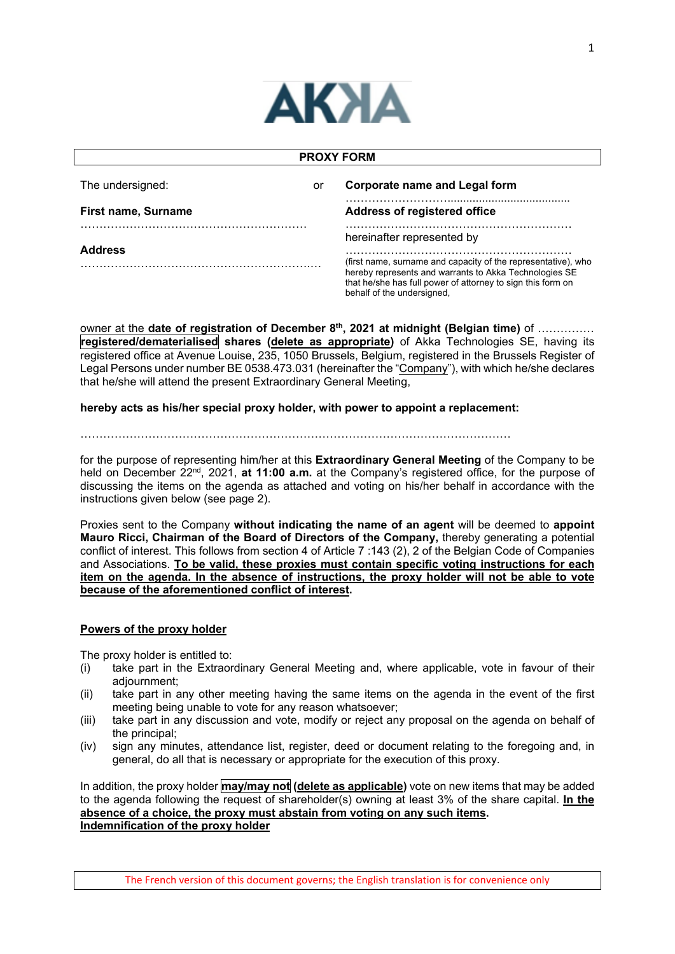

| <b>PROXY FORM</b>          |  |                                                                                                                                                                                                                                                    |  |  |
|----------------------------|--|----------------------------------------------------------------------------------------------------------------------------------------------------------------------------------------------------------------------------------------------------|--|--|
| The undersigned:<br>or     |  | <b>Corporate name and Legal form</b>                                                                                                                                                                                                               |  |  |
| <b>First name, Surname</b> |  | Address of registered office                                                                                                                                                                                                                       |  |  |
| <b>Address</b>             |  | hereinafter represented by<br>(first name, surname and capacity of the representative), who<br>hereby represents and warrants to Akka Technologies SE<br>that he/she has full power of attorney to sign this form on<br>behalf of the undersigned. |  |  |

owner at the **date of registration of December 8th, 2021 at midnight (Belgian time)** of …………… **registered/dematerialised shares (delete as appropriate)** of Akka Technologies SE, having its registered office at Avenue Louise, 235, 1050 Brussels, Belgium, registered in the Brussels Register of Legal Persons under number BE 0538.473.031 (hereinafter the "Company"), with which he/she declares that he/she will attend the present Extraordinary General Meeting,

# **hereby acts as his/her special proxy holder, with power to appoint a replacement:**

### ……………………………………………………………………………………………………

for the purpose of representing him/her at this **Extraordinary General Meeting** of the Company to be held on December 22nd, 2021, **at 11:00 a.m.** at the Company's registered office, for the purpose of discussing the items on the agenda as attached and voting on his/her behalf in accordance with the instructions given below (see page 2).

Proxies sent to the Company **without indicating the name of an agent** will be deemed to **appoint Mauro Ricci, Chairman of the Board of Directors of the Company,** thereby generating a potential conflict of interest. This follows from section 4 of Article 7 :143 (2), 2 of the Belgian Code of Companies and Associations. **To be valid, these proxies must contain specific voting instructions for each item on the agenda. In the absence of instructions, the proxy holder will not be able to vote because of the aforementioned conflict of interest.**

# **Powers of the proxy holder**

The proxy holder is entitled to:

- (i) take part in the Extraordinary General Meeting and, where applicable, vote in favour of their adjournment;
- (ii) take part in any other meeting having the same items on the agenda in the event of the first meeting being unable to vote for any reason whatsoever;
- (iii) take part in any discussion and vote, modify or reject any proposal on the agenda on behalf of the principal;
- (iv) sign any minutes, attendance list, register, deed or document relating to the foregoing and, in general, do all that is necessary or appropriate for the execution of this proxy.

In addition, the proxy holder **may/may not (delete as applicable)** vote on new items that may be added to the agenda following the request of shareholder(s) owning at least 3% of the share capital. **In the absence of a choice, the proxy must abstain from voting on any such items. Indemnification of the proxy holder**